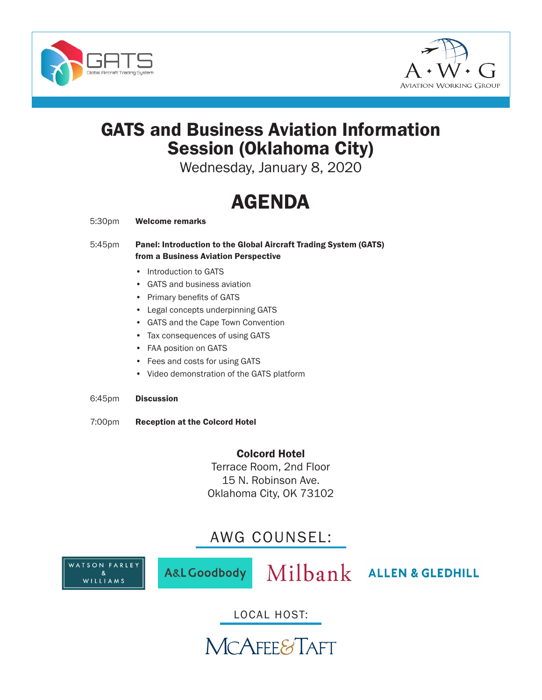



## GATS and Business Aviation Information Session (Oklahoma City)

Wednesday, January 8, 2020

# AGENDA

- 5:30pm Welcome remarks
- 5:45pm Panel: Introduction to the Global Aircraft Trading System (GATS) from a Business Aviation Perspective
	- Introduction to GATS
	- GATS and business aviation
	- Primary benefits of GATS
	- Legal concepts underpinning GATS
	- GATS and the Cape Town Convention
	- Tax consequences of using GATS
	- FAA position on GATS
	- Fees and costs for using GATS
	- Video demonstration of the GATS platform
- 6:45pm Discussion
- 7:00pm Reception at the Colcord Hotel

Colcord Hotel Terrace Room, 2nd Floor 15 N. Robinson Ave. Oklahoma City, OK 73102

### AWG COUNSEL:



A&L Goodbody

Milbank ALLEN & GLEDHILL

LOCAL HOST:

**MCAFEE&TAFT**